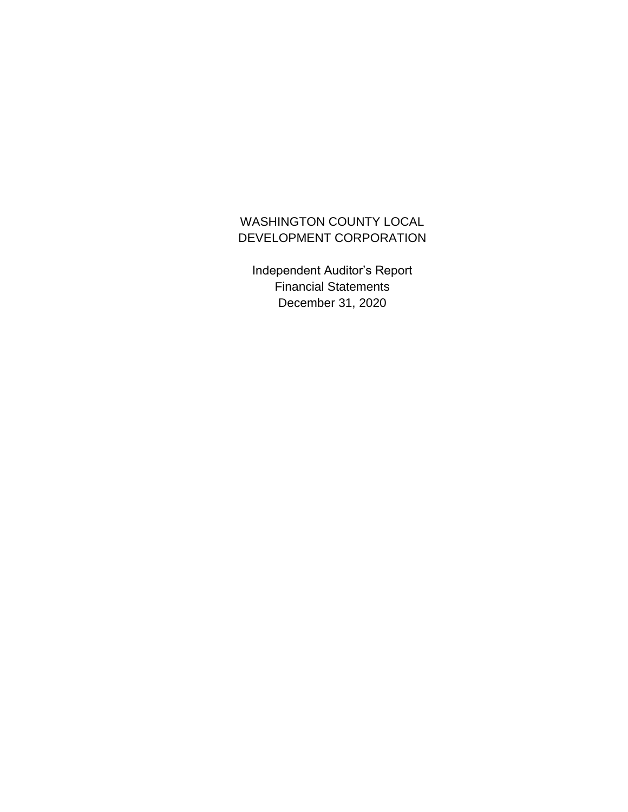## WASHINGTON COUNTY LOCAL DEVELOPMENT CORPORATION

Independent Auditor's Report Financial Statements December 31, 2020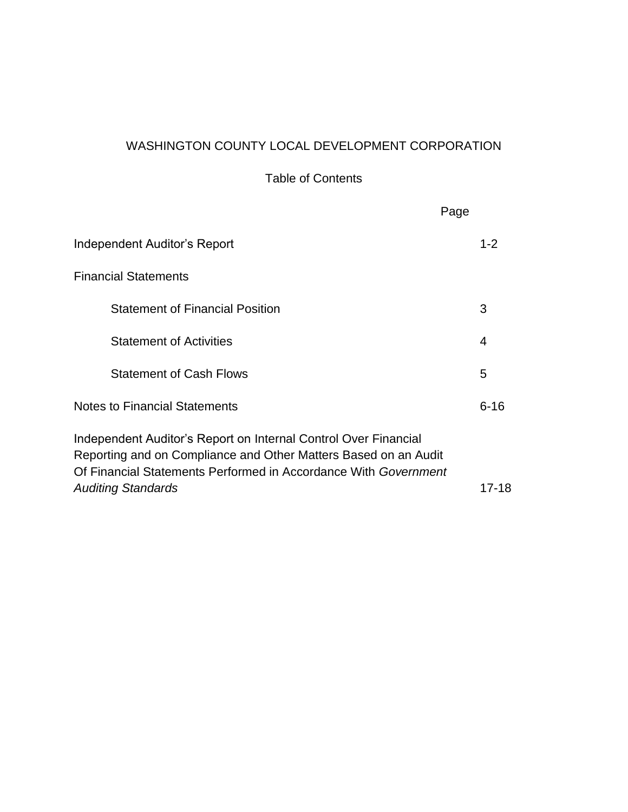## WASHINGTON COUNTY LOCAL DEVELOPMENT CORPORATION

Table of Contents

|                                                                                                                                                                                                                                    | Page     |
|------------------------------------------------------------------------------------------------------------------------------------------------------------------------------------------------------------------------------------|----------|
| Independent Auditor's Report                                                                                                                                                                                                       | $1 - 2$  |
| <b>Financial Statements</b>                                                                                                                                                                                                        |          |
| <b>Statement of Financial Position</b>                                                                                                                                                                                             | 3        |
| <b>Statement of Activities</b>                                                                                                                                                                                                     | 4        |
| <b>Statement of Cash Flows</b>                                                                                                                                                                                                     | 5        |
| <b>Notes to Financial Statements</b>                                                                                                                                                                                               | $6 - 16$ |
| Independent Auditor's Report on Internal Control Over Financial<br>Reporting and on Compliance and Other Matters Based on an Audit<br>Of Financial Statements Performed in Accordance With Government<br><b>Auditing Standards</b> | 17-18    |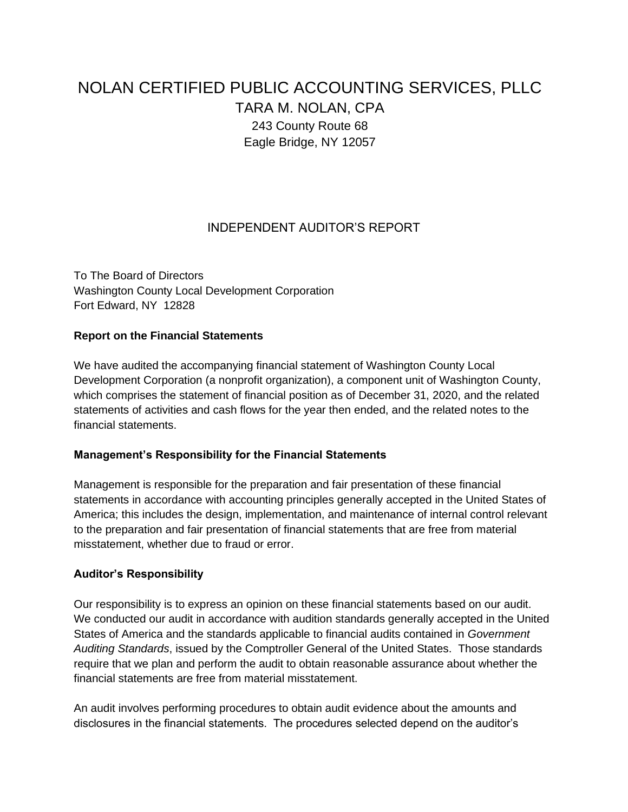# NOLAN CERTIFIED PUBLIC ACCOUNTING SERVICES, PLLC TARA M. NOLAN, CPA 243 County Route 68 Eagle Bridge, NY 12057

## INDEPENDENT AUDITOR'S REPORT

To The Board of Directors Washington County Local Development Corporation Fort Edward, NY 12828

#### **Report on the Financial Statements**

We have audited the accompanying financial statement of Washington County Local Development Corporation (a nonprofit organization), a component unit of Washington County, which comprises the statement of financial position as of December 31, 2020, and the related statements of activities and cash flows for the year then ended, and the related notes to the financial statements.

#### **Management's Responsibility for the Financial Statements**

Management is responsible for the preparation and fair presentation of these financial statements in accordance with accounting principles generally accepted in the United States of America; this includes the design, implementation, and maintenance of internal control relevant to the preparation and fair presentation of financial statements that are free from material misstatement, whether due to fraud or error.

#### **Auditor's Responsibility**

Our responsibility is to express an opinion on these financial statements based on our audit. We conducted our audit in accordance with audition standards generally accepted in the United States of America and the standards applicable to financial audits contained in *Government Auditing Standards*, issued by the Comptroller General of the United States. Those standards require that we plan and perform the audit to obtain reasonable assurance about whether the financial statements are free from material misstatement.

An audit involves performing procedures to obtain audit evidence about the amounts and disclosures in the financial statements. The procedures selected depend on the auditor's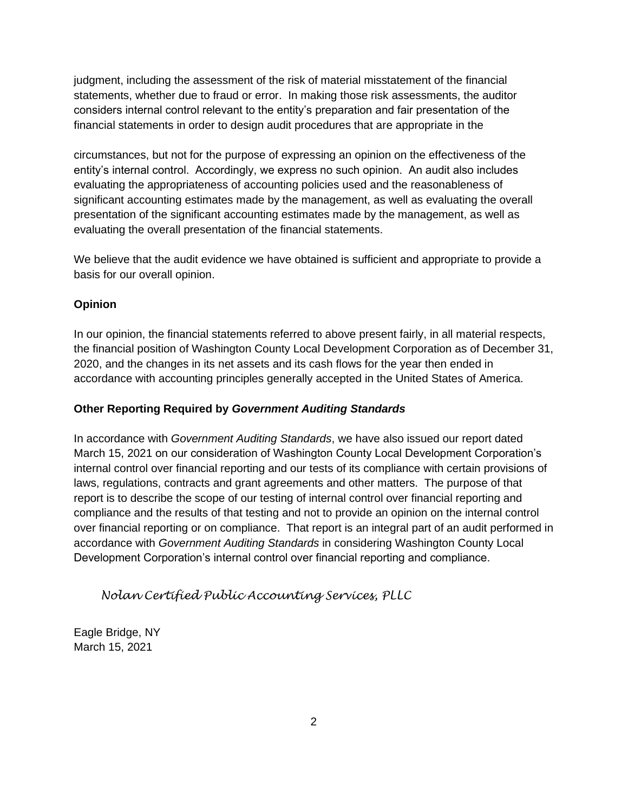judgment, including the assessment of the risk of material misstatement of the financial statements, whether due to fraud or error. In making those risk assessments, the auditor considers internal control relevant to the entity's preparation and fair presentation of the financial statements in order to design audit procedures that are appropriate in the

circumstances, but not for the purpose of expressing an opinion on the effectiveness of the entity's internal control. Accordingly, we express no such opinion. An audit also includes evaluating the appropriateness of accounting policies used and the reasonableness of significant accounting estimates made by the management, as well as evaluating the overall presentation of the significant accounting estimates made by the management, as well as evaluating the overall presentation of the financial statements.

We believe that the audit evidence we have obtained is sufficient and appropriate to provide a basis for our overall opinion.

## **Opinion**

In our opinion, the financial statements referred to above present fairly, in all material respects, the financial position of Washington County Local Development Corporation as of December 31, 2020, and the changes in its net assets and its cash flows for the year then ended in accordance with accounting principles generally accepted in the United States of America.

## **Other Reporting Required by** *Government Auditing Standards*

In accordance with *Government Auditing Standards*, we have also issued our report dated March 15, 2021 on our consideration of Washington County Local Development Corporation's internal control over financial reporting and our tests of its compliance with certain provisions of laws, regulations, contracts and grant agreements and other matters. The purpose of that report is to describe the scope of our testing of internal control over financial reporting and compliance and the results of that testing and not to provide an opinion on the internal control over financial reporting or on compliance. That report is an integral part of an audit performed in accordance with *Government Auditing Standards* in considering Washington County Local Development Corporation's internal control over financial reporting and compliance.

*Nolan Certified Public Accounting Services, PLLC*

Eagle Bridge, NY March 15, 2021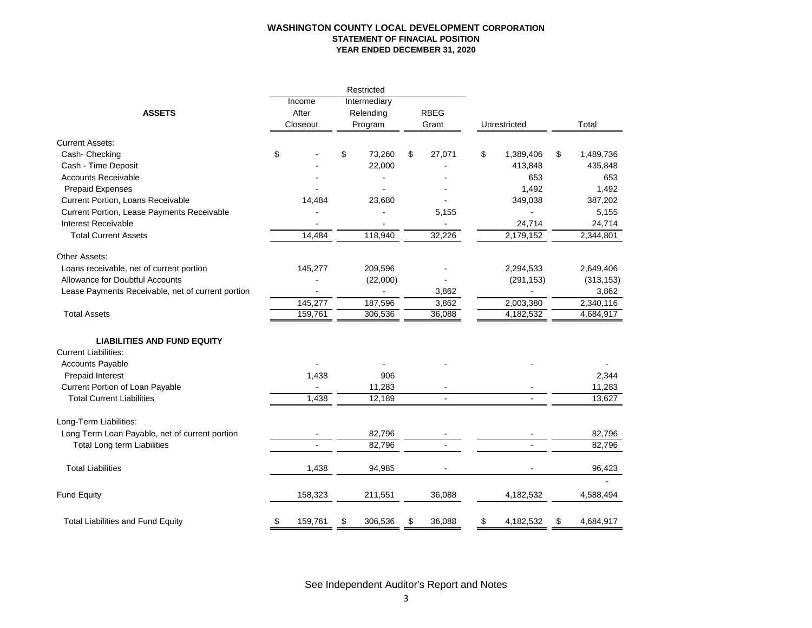#### **WASHINGTON COUNTY LOCAL DEVELOPMENT CORPORATION STATEMENT OF FINACIAL POSITION YEAR ENDED DECEMBER 31, 2020**

|                                                   |                             |         |                                      | Restricted |                      |        |              |            |                 |
|---------------------------------------------------|-----------------------------|---------|--------------------------------------|------------|----------------------|--------|--------------|------------|-----------------|
| <b>ASSETS</b>                                     | Income<br>After<br>Closeout |         | Intermediary<br>Relending<br>Program |            | <b>RBEG</b><br>Grant |        | Unrestricted |            | Total           |
| <b>Current Assets:</b>                            |                             |         |                                      |            |                      |        |              |            |                 |
| Cash- Checking                                    | \$                          |         | \$                                   | 73,260     | \$                   | 27,071 | \$           | 1,389,406  | \$<br>1,489,736 |
| Cash - Time Deposit                               |                             |         |                                      | 22,000     |                      |        |              | 413,848    | 435,848         |
| <b>Accounts Receivable</b>                        |                             |         |                                      |            |                      |        |              | 653        | 653             |
| <b>Prepaid Expenses</b>                           |                             |         |                                      |            |                      |        |              | 1,492      | 1,492           |
| <b>Current Portion, Loans Receivable</b>          |                             | 14,484  |                                      | 23,680     |                      |        |              | 349,038    | 387,202         |
| Current Portion, Lease Payments Receivable        |                             |         |                                      |            |                      | 5,155  |              |            | 5,155           |
| Interest Receivable                               |                             |         |                                      |            |                      |        |              | 24,714     | 24,714          |
| <b>Total Current Assets</b>                       |                             | 14,484  |                                      | 118,940    |                      | 32,226 |              | 2,179,152  | 2,344,801       |
| Other Assets:                                     |                             |         |                                      |            |                      |        |              |            |                 |
| Loans receivable, net of current portion          |                             | 145,277 |                                      | 209,596    |                      |        |              | 2,294,533  | 2,649,406       |
| Allowance for Doubtful Accounts                   |                             |         |                                      | (22,000)   |                      |        |              | (291, 153) | (313, 153)      |
| Lease Payments Receivable, net of current portion |                             |         |                                      |            |                      | 3,862  |              |            | 3,862           |
|                                                   |                             | 145,277 |                                      | 187,596    |                      | 3,862  |              | 2,003,380  | 2,340,116       |
| <b>Total Assets</b>                               |                             | 159,761 |                                      | 306,536    |                      | 36,088 |              | 4,182,532  | 4,684,917       |
| <b>LIABILITIES AND FUND EQUITY</b>                |                             |         |                                      |            |                      |        |              |            |                 |
| <b>Current Liabilities:</b>                       |                             |         |                                      |            |                      |        |              |            |                 |
| <b>Accounts Payable</b>                           |                             |         |                                      |            |                      |        |              |            |                 |
| Prepaid Interest                                  |                             | 1,438   |                                      | 906        |                      |        |              |            | 2,344           |
| Current Portion of Loan Payable                   |                             |         |                                      | 11,283     |                      |        |              |            | 11,283          |
| <b>Total Current Liabilities</b>                  |                             | 1,438   |                                      | 12,189     |                      |        |              |            | 13,627          |
| Long-Term Liabilities:                            |                             |         |                                      |            |                      |        |              |            |                 |
| Long Term Loan Payable, net of current portion    |                             |         |                                      | 82,796     |                      |        |              |            | 82,796          |
| Total Long term Liabilities                       |                             |         |                                      | 82,796     |                      |        |              |            | 82,796          |
| <b>Total Liabilities</b>                          |                             | 1,438   |                                      | 94,985     |                      |        |              |            | 96,423          |
| <b>Fund Equity</b>                                |                             | 158,323 |                                      | 211,551    |                      | 36,088 |              | 4,182,532  | 4,588,494       |
| <b>Total Liabilities and Fund Equity</b>          | \$                          | 159,761 | \$                                   | 306,536    | \$                   | 36,088 | \$           | 4,182,532  | \$<br>4,684,917 |

See Independent Auditor's Report and Notes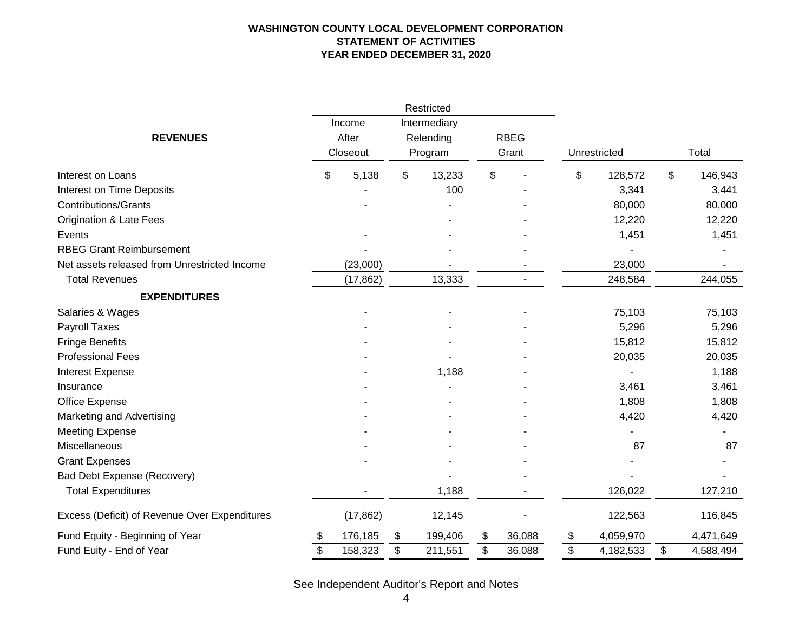#### **WASHINGTON COUNTY LOCAL DEVELOPMENT CORPORATION STATEMENT OF ACTIVITIES YEAR ENDED DECEMBER 31, 2020**

|                                               |               | Restricted    |              |                 |                 |
|-----------------------------------------------|---------------|---------------|--------------|-----------------|-----------------|
|                                               | Income        | Intermediary  |              |                 |                 |
| <b>REVENUES</b>                               | After         | Relending     | <b>RBEG</b>  |                 |                 |
|                                               | Closeout      | Program       | Grant        | Unrestricted    | Total           |
| Interest on Loans                             | \$<br>5,138   | \$<br>13,233  | \$           | \$<br>128,572   | \$<br>146,943   |
| Interest on Time Deposits                     |               | 100           |              | 3,341           | 3,441           |
| <b>Contributions/Grants</b>                   |               |               |              | 80,000          | 80,000          |
| <b>Origination &amp; Late Fees</b>            |               |               |              | 12,220          | 12,220          |
| Events                                        |               |               |              | 1,451           | 1,451           |
| <b>RBEG Grant Reimbursement</b>               |               |               |              |                 |                 |
| Net assets released from Unrestricted Income  | (23,000)      |               |              | 23,000          |                 |
| <b>Total Revenues</b>                         | (17, 862)     | 13,333        |              | 248,584         | 244,055         |
| <b>EXPENDITURES</b>                           |               |               |              |                 |                 |
| Salaries & Wages                              |               |               |              | 75,103          | 75,103          |
| Payroll Taxes                                 |               |               |              | 5,296           | 5,296           |
| <b>Fringe Benefits</b>                        |               |               |              | 15,812          | 15,812          |
| <b>Professional Fees</b>                      |               |               |              | 20,035          | 20,035          |
| Interest Expense                              |               | 1,188         |              |                 | 1,188           |
| Insurance                                     |               |               |              | 3,461           | 3,461           |
| Office Expense                                |               |               |              | 1,808           | 1,808           |
| Marketing and Advertising                     |               |               |              | 4,420           | 4,420           |
| <b>Meeting Expense</b>                        |               |               |              |                 |                 |
| Miscellaneous                                 |               |               |              | 87              | 87              |
| <b>Grant Expenses</b>                         |               |               |              |                 |                 |
| Bad Debt Expense (Recovery)                   |               |               |              |                 |                 |
| <b>Total Expenditures</b>                     |               | 1,188         |              | 126,022         | 127,210         |
| Excess (Deficit) of Revenue Over Expenditures | (17, 862)     | 12,145        |              | 122,563         | 116,845         |
| Fund Equity - Beginning of Year               | \$<br>176,185 | \$<br>199,406 | \$<br>36,088 | \$<br>4,059,970 | 4,471,649       |
| Fund Euity - End of Year                      | \$<br>158,323 | \$<br>211,551 | \$<br>36,088 | \$<br>4,182,533 | \$<br>4,588,494 |

See Independent Auditor's Report and Notes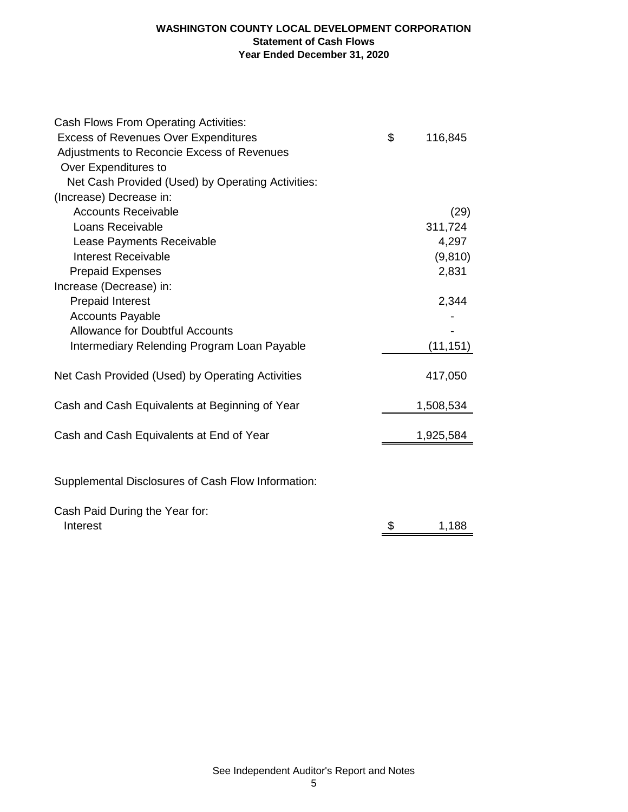#### **WASHINGTON COUNTY LOCAL DEVELOPMENT CORPORATION Statement of Cash Flows Year Ended December 31, 2020**

| Cash Flows From Operating Activities:              |               |
|----------------------------------------------------|---------------|
| <b>Excess of Revenues Over Expenditures</b>        | \$<br>116,845 |
| Adjustments to Reconcie Excess of Revenues         |               |
| Over Expenditures to                               |               |
| Net Cash Provided (Used) by Operating Activities:  |               |
| (Increase) Decrease in:                            |               |
| <b>Accounts Receivable</b>                         | (29)          |
| Loans Receivable                                   | 311,724       |
| Lease Payments Receivable                          | 4,297         |
| <b>Interest Receivable</b>                         | (9,810)       |
| <b>Prepaid Expenses</b>                            | 2,831         |
| Increase (Decrease) in:                            |               |
| <b>Prepaid Interest</b>                            | 2,344         |
| <b>Accounts Payable</b>                            |               |
| <b>Allowance for Doubtful Accounts</b>             |               |
| Intermediary Relending Program Loan Payable        | (11, 151)     |
| Net Cash Provided (Used) by Operating Activities   | 417,050       |
| Cash and Cash Equivalents at Beginning of Year     | 1,508,534     |
| Cash and Cash Equivalents at End of Year           | 1,925,584     |
|                                                    |               |
| Supplemental Disclosures of Cash Flow Information: |               |
| Cash Paid During the Year for:<br>Interest         | \$<br>1,188   |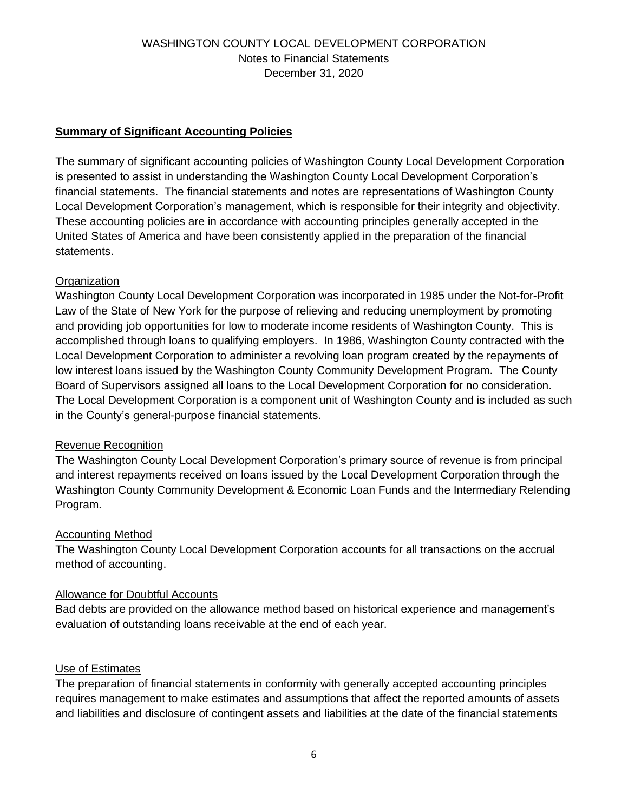## **Summary of Significant Accounting Policies**

The summary of significant accounting policies of Washington County Local Development Corporation is presented to assist in understanding the Washington County Local Development Corporation's financial statements. The financial statements and notes are representations of Washington County Local Development Corporation's management, which is responsible for their integrity and objectivity. These accounting policies are in accordance with accounting principles generally accepted in the United States of America and have been consistently applied in the preparation of the financial statements.

## **Organization**

Washington County Local Development Corporation was incorporated in 1985 under the Not-for-Profit Law of the State of New York for the purpose of relieving and reducing unemployment by promoting and providing job opportunities for low to moderate income residents of Washington County. This is accomplished through loans to qualifying employers. In 1986, Washington County contracted with the Local Development Corporation to administer a revolving loan program created by the repayments of low interest loans issued by the Washington County Community Development Program. The County Board of Supervisors assigned all loans to the Local Development Corporation for no consideration. The Local Development Corporation is a component unit of Washington County and is included as such in the County's general-purpose financial statements.

## Revenue Recognition

The Washington County Local Development Corporation's primary source of revenue is from principal and interest repayments received on loans issued by the Local Development Corporation through the Washington County Community Development & Economic Loan Funds and the Intermediary Relending Program.

## Accounting Method

The Washington County Local Development Corporation accounts for all transactions on the accrual method of accounting.

## Allowance for Doubtful Accounts

Bad debts are provided on the allowance method based on historical experience and management's evaluation of outstanding loans receivable at the end of each year.

## Use of Estimates

The preparation of financial statements in conformity with generally accepted accounting principles requires management to make estimates and assumptions that affect the reported amounts of assets and liabilities and disclosure of contingent assets and liabilities at the date of the financial statements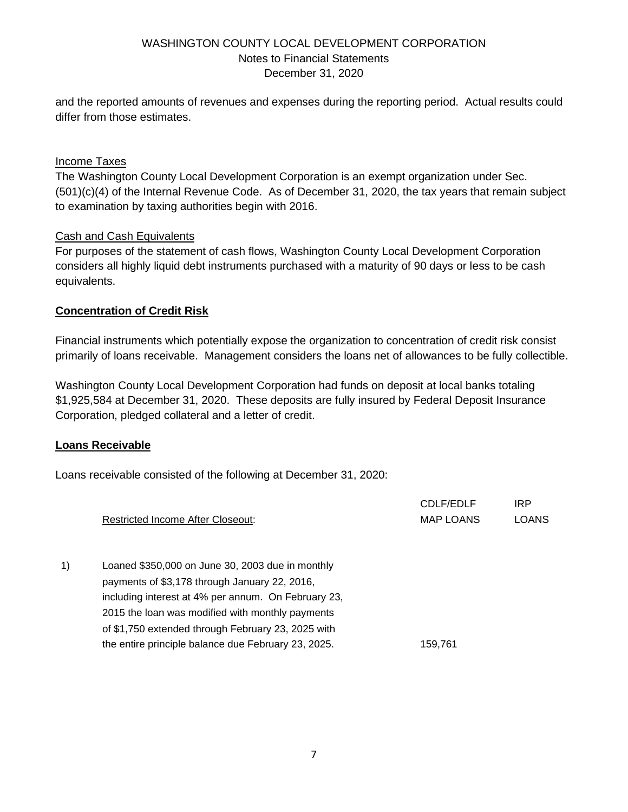and the reported amounts of revenues and expenses during the reporting period. Actual results could differ from those estimates.

## Income Taxes

The Washington County Local Development Corporation is an exempt organization under Sec. (501)(c)(4) of the Internal Revenue Code. As of December 31, 2020, the tax years that remain subject to examination by taxing authorities begin with 2016.

## Cash and Cash Equivalents

For purposes of the statement of cash flows, Washington County Local Development Corporation considers all highly liquid debt instruments purchased with a maturity of 90 days or less to be cash equivalents.

## **Concentration of Credit Risk**

Financial instruments which potentially expose the organization to concentration of credit risk consist primarily of loans receivable. Management considers the loans net of allowances to be fully collectible.

Washington County Local Development Corporation had funds on deposit at local banks totaling \$1,925,584 at December 31, 2020. These deposits are fully insured by Federal Deposit Insurance Corporation, pledged collateral and a letter of credit.

## **Loans Receivable**

Loans receivable consisted of the following at December 31, 2020:

|    | <b>Restricted Income After Closeout:</b>            | CDLF/EDLF<br><b>MAP LOANS</b> | <b>IRP</b><br><b>LOANS</b> |
|----|-----------------------------------------------------|-------------------------------|----------------------------|
| 1) | Loaned \$350,000 on June 30, 2003 due in monthly    |                               |                            |
|    | payments of \$3,178 through January 22, 2016,       |                               |                            |
|    | including interest at 4% per annum. On February 23, |                               |                            |
|    | 2015 the loan was modified with monthly payments    |                               |                            |
|    | of \$1,750 extended through February 23, 2025 with  |                               |                            |
|    | the entire principle balance due February 23, 2025. | 159.761                       |                            |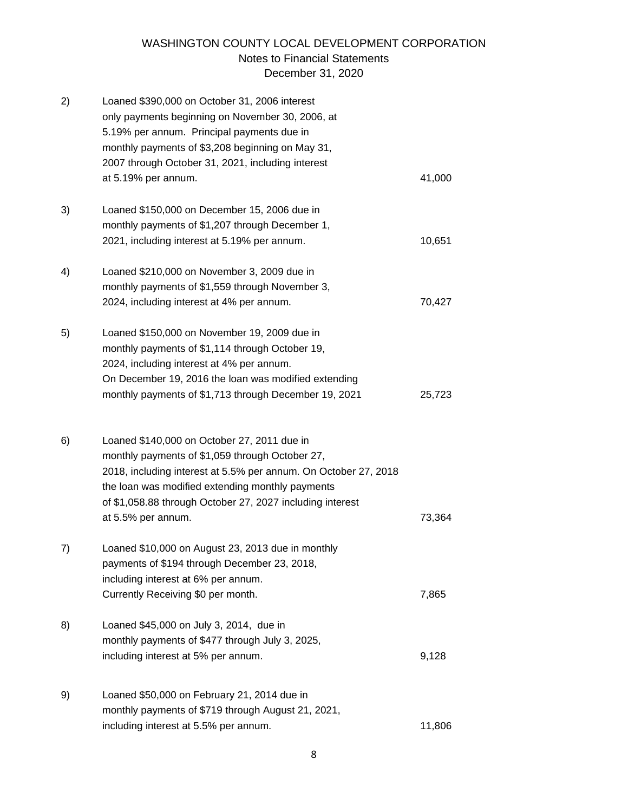| 2) | Loaned \$390,000 on October 31, 2006 interest<br>only payments beginning on November 30, 2006, at<br>5.19% per annum. Principal payments due in<br>monthly payments of \$3,208 beginning on May 31,<br>2007 through October 31, 2021, including interest<br>at 5.19% per annum.                          | 41,000 |
|----|----------------------------------------------------------------------------------------------------------------------------------------------------------------------------------------------------------------------------------------------------------------------------------------------------------|--------|
|    |                                                                                                                                                                                                                                                                                                          |        |
| 3) | Loaned \$150,000 on December 15, 2006 due in<br>monthly payments of \$1,207 through December 1,<br>2021, including interest at 5.19% per annum.                                                                                                                                                          | 10,651 |
| 4) | Loaned \$210,000 on November 3, 2009 due in<br>monthly payments of \$1,559 through November 3,<br>2024, including interest at 4% per annum.                                                                                                                                                              | 70,427 |
| 5) | Loaned \$150,000 on November 19, 2009 due in<br>monthly payments of \$1,114 through October 19,<br>2024, including interest at 4% per annum.<br>On December 19, 2016 the loan was modified extending<br>monthly payments of \$1,713 through December 19, 2021                                            | 25,723 |
| 6) | Loaned \$140,000 on October 27, 2011 due in<br>monthly payments of \$1,059 through October 27,<br>2018, including interest at 5.5% per annum. On October 27, 2018<br>the loan was modified extending monthly payments<br>of \$1,058.88 through October 27, 2027 including interest<br>at 5.5% per annum. | 73,364 |
| 7) | Loaned \$10,000 on August 23, 2013 due in monthly<br>payments of \$194 through December 23, 2018,<br>including interest at 6% per annum.<br>Currently Receiving \$0 per month.                                                                                                                           | 7,865  |
| 8) | Loaned \$45,000 on July 3, 2014, due in<br>monthly payments of \$477 through July 3, 2025,<br>including interest at 5% per annum.                                                                                                                                                                        | 9,128  |
| 9) | Loaned \$50,000 on February 21, 2014 due in<br>monthly payments of \$719 through August 21, 2021,<br>including interest at 5.5% per annum.                                                                                                                                                               | 11,806 |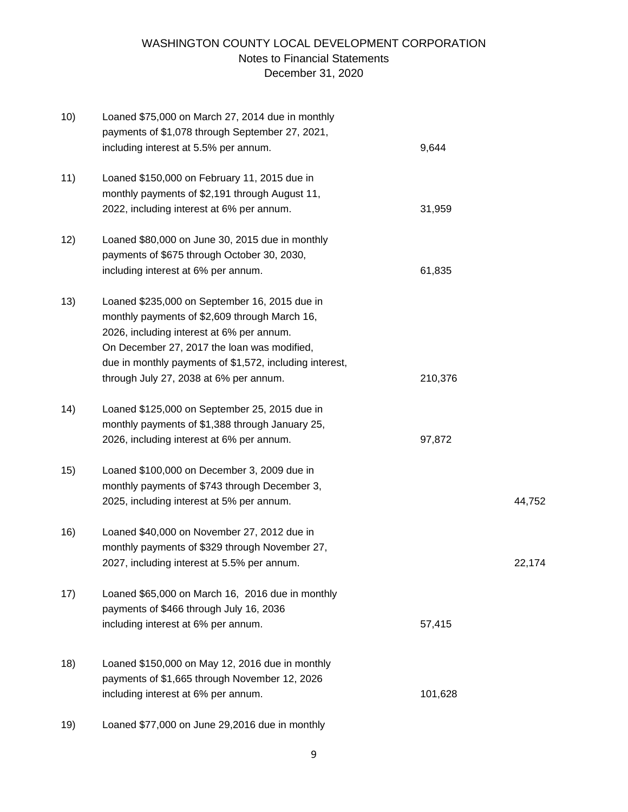| 10) | Loaned \$75,000 on March 27, 2014 due in monthly        |         |        |
|-----|---------------------------------------------------------|---------|--------|
|     | payments of \$1,078 through September 27, 2021,         |         |        |
|     | including interest at 5.5% per annum.                   | 9,644   |        |
| 11) | Loaned \$150,000 on February 11, 2015 due in            |         |        |
|     | monthly payments of \$2,191 through August 11,          |         |        |
|     | 2022, including interest at 6% per annum.               | 31,959  |        |
| 12) | Loaned \$80,000 on June 30, 2015 due in monthly         |         |        |
|     | payments of \$675 through October 30, 2030,             |         |        |
|     | including interest at 6% per annum.                     | 61,835  |        |
| 13) | Loaned \$235,000 on September 16, 2015 due in           |         |        |
|     | monthly payments of \$2,609 through March 16,           |         |        |
|     | 2026, including interest at 6% per annum.               |         |        |
|     | On December 27, 2017 the loan was modified,             |         |        |
|     | due in monthly payments of \$1,572, including interest, |         |        |
|     | through July 27, 2038 at 6% per annum.                  | 210,376 |        |
| 14) | Loaned \$125,000 on September 25, 2015 due in           |         |        |
|     | monthly payments of \$1,388 through January 25,         |         |        |
|     | 2026, including interest at 6% per annum.               | 97,872  |        |
| 15) | Loaned \$100,000 on December 3, 2009 due in             |         |        |
|     | monthly payments of \$743 through December 3,           |         |        |
|     | 2025, including interest at 5% per annum.               |         | 44,752 |
| 16) | Loaned \$40,000 on November 27, 2012 due in             |         |        |
|     | monthly payments of \$329 through November 27,          |         |        |
|     | 2027, including interest at 5.5% per annum.             |         | 22,174 |
| 17) | Loaned \$65,000 on March 16, 2016 due in monthly        |         |        |
|     | payments of \$466 through July 16, 2036                 |         |        |
|     | including interest at 6% per annum.                     | 57,415  |        |
| 18) | Loaned \$150,000 on May 12, 2016 due in monthly         |         |        |
|     | payments of \$1,665 through November 12, 2026           |         |        |
|     |                                                         | 101,628 |        |
|     | including interest at 6% per annum.                     |         |        |
| 19) | Loaned \$77,000 on June 29,2016 due in monthly          |         |        |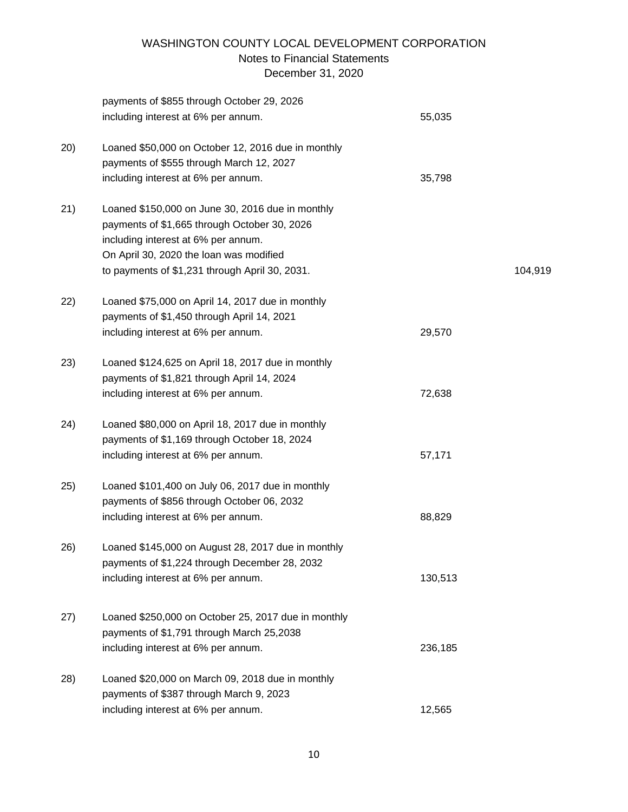|      | payments of \$855 through October 29, 2026          |         |         |
|------|-----------------------------------------------------|---------|---------|
|      | including interest at 6% per annum.                 | 55,035  |         |
| (20) | Loaned \$50,000 on October 12, 2016 due in monthly  |         |         |
|      | payments of \$555 through March 12, 2027            |         |         |
|      | including interest at 6% per annum.                 | 35,798  |         |
| 21)  | Loaned \$150,000 on June 30, 2016 due in monthly    |         |         |
|      | payments of \$1,665 through October 30, 2026        |         |         |
|      | including interest at 6% per annum.                 |         |         |
|      | On April 30, 2020 the loan was modified             |         |         |
|      | to payments of \$1,231 through April 30, 2031.      |         | 104,919 |
| 22)  | Loaned \$75,000 on April 14, 2017 due in monthly    |         |         |
|      | payments of \$1,450 through April 14, 2021          |         |         |
|      | including interest at 6% per annum.                 | 29,570  |         |
| 23)  | Loaned \$124,625 on April 18, 2017 due in monthly   |         |         |
|      | payments of \$1,821 through April 14, 2024          |         |         |
|      | including interest at 6% per annum.                 | 72,638  |         |
| 24)  | Loaned \$80,000 on April 18, 2017 due in monthly    |         |         |
|      | payments of \$1,169 through October 18, 2024        |         |         |
|      | including interest at 6% per annum.                 | 57,171  |         |
| 25)  | Loaned \$101,400 on July 06, 2017 due in monthly    |         |         |
|      | payments of \$856 through October 06, 2032          |         |         |
|      | including interest at 6% per annum.                 | 88,829  |         |
| 26)  | Loaned \$145,000 on August 28, 2017 due in monthly  |         |         |
|      | payments of \$1,224 through December 28, 2032       |         |         |
|      | including interest at 6% per annum.                 | 130,513 |         |
|      | Loaned \$250,000 on October 25, 2017 due in monthly |         |         |
| 27)  | payments of \$1,791 through March 25,2038           |         |         |
|      |                                                     |         |         |
|      | including interest at 6% per annum.                 | 236,185 |         |
| 28)  | Loaned \$20,000 on March 09, 2018 due in monthly    |         |         |
|      | payments of \$387 through March 9, 2023             |         |         |
|      | including interest at 6% per annum.                 | 12,565  |         |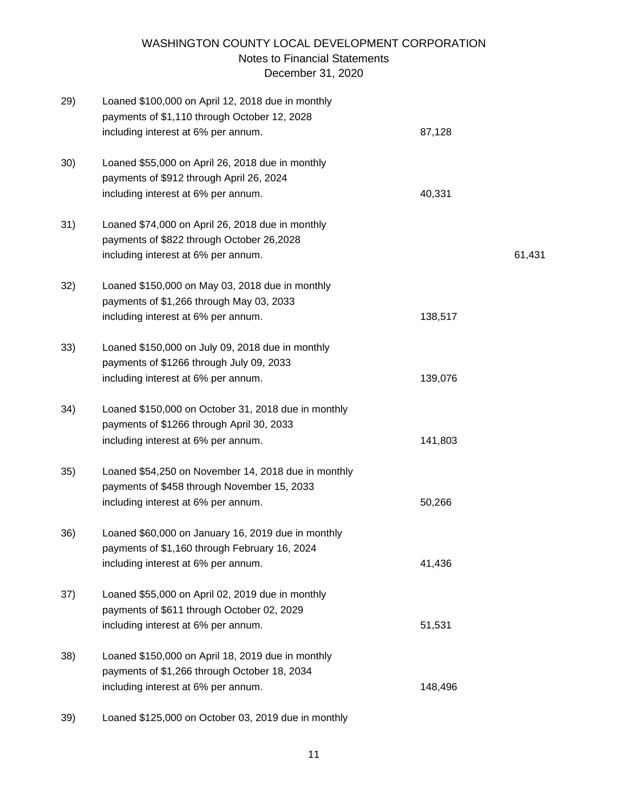| 29) | Loaned \$100,000 on April 12, 2018 due in monthly<br>payments of \$1,110 through October 12, 2028<br>including interest at 6% per annum. | 87,128  |        |
|-----|------------------------------------------------------------------------------------------------------------------------------------------|---------|--------|
| 30) | Loaned \$55,000 on April 26, 2018 due in monthly                                                                                         |         |        |
|     | payments of \$912 through April 26, 2024                                                                                                 |         |        |
|     | including interest at 6% per annum.                                                                                                      | 40,331  |        |
| 31) | Loaned \$74,000 on April 26, 2018 due in monthly                                                                                         |         |        |
|     | payments of \$822 through October 26,2028                                                                                                |         |        |
|     | including interest at 6% per annum.                                                                                                      |         | 61,431 |
| 32) | Loaned \$150,000 on May 03, 2018 due in monthly                                                                                          |         |        |
|     | payments of \$1,266 through May 03, 2033                                                                                                 |         |        |
|     | including interest at 6% per annum.                                                                                                      | 138,517 |        |
| 33) | Loaned \$150,000 on July 09, 2018 due in monthly                                                                                         |         |        |
|     | payments of \$1266 through July 09, 2033                                                                                                 |         |        |
|     | including interest at 6% per annum.                                                                                                      | 139,076 |        |
| 34) | Loaned \$150,000 on October 31, 2018 due in monthly                                                                                      |         |        |
|     | payments of \$1266 through April 30, 2033                                                                                                |         |        |
|     | including interest at 6% per annum.                                                                                                      | 141,803 |        |
| 35) | Loaned \$54,250 on November 14, 2018 due in monthly                                                                                      |         |        |
|     | payments of \$458 through November 15, 2033                                                                                              |         |        |
|     | including interest at 6% per annum.                                                                                                      | 50,266  |        |
| 36) | Loaned \$60,000 on January 16, 2019 due in monthly                                                                                       |         |        |
|     | payments of \$1,160 through February 16, 2024                                                                                            |         |        |
|     | including interest at 6% per annum.                                                                                                      | 41,436  |        |
| 37) | Loaned \$55,000 on April 02, 2019 due in monthly                                                                                         |         |        |
|     | payments of \$611 through October 02, 2029                                                                                               |         |        |
|     | including interest at 6% per annum.                                                                                                      | 51,531  |        |
| 38) | Loaned \$150,000 on April 18, 2019 due in monthly                                                                                        |         |        |
|     | payments of \$1,266 through October 18, 2034                                                                                             |         |        |
|     | including interest at 6% per annum.                                                                                                      | 148,496 |        |
|     |                                                                                                                                          |         |        |

39) Loaned \$125,000 on October 03, 2019 due in monthly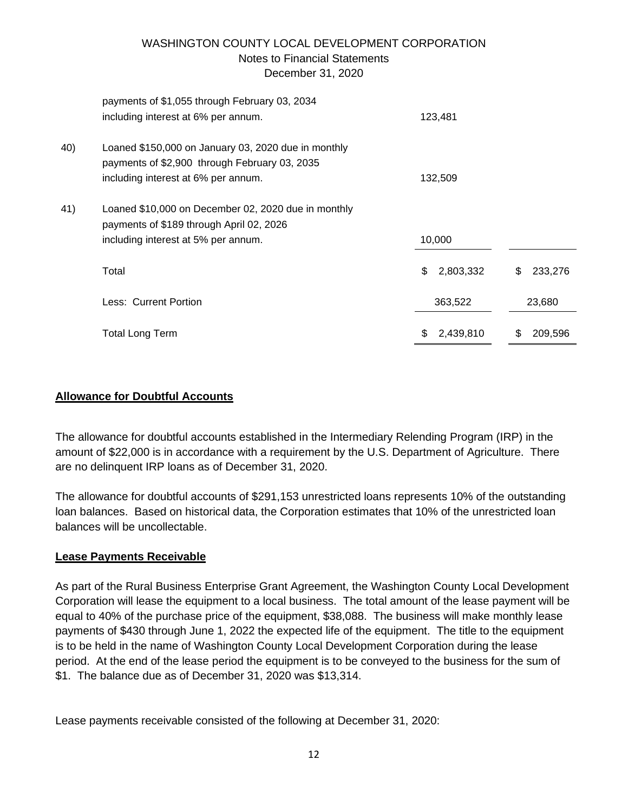|     | payments of \$1,055 through February 03, 2034       |     |           |               |
|-----|-----------------------------------------------------|-----|-----------|---------------|
|     | including interest at 6% per annum.                 |     | 123,481   |               |
| 40) | Loaned \$150,000 on January 03, 2020 due in monthly |     |           |               |
|     | payments of \$2,900 through February 03, 2035       |     |           |               |
|     | including interest at 6% per annum.                 |     | 132,509   |               |
| 41) | Loaned \$10,000 on December 02, 2020 due in monthly |     |           |               |
|     | payments of \$189 through April 02, 2026            |     |           |               |
|     | including interest at 5% per annum.                 |     | 10,000    |               |
|     | Total                                               | \$  | 2,803,332 | \$<br>233,276 |
|     | Less: Current Portion                               |     | 363,522   | 23,680        |
|     | <b>Total Long Term</b>                              | \$. | 2,439,810 | \$<br>209,596 |
|     |                                                     |     |           |               |

## **Allowance for Doubtful Accounts**

The allowance for doubtful accounts established in the Intermediary Relending Program (IRP) in the amount of \$22,000 is in accordance with a requirement by the U.S. Department of Agriculture. There are no delinquent IRP loans as of December 31, 2020.

The allowance for doubtful accounts of \$291,153 unrestricted loans represents 10% of the outstanding loan balances. Based on historical data, the Corporation estimates that 10% of the unrestricted loan balances will be uncollectable.

## **Lease Payments Receivable**

As part of the Rural Business Enterprise Grant Agreement, the Washington County Local Development Corporation will lease the equipment to a local business. The total amount of the lease payment will be equal to 40% of the purchase price of the equipment, \$38,088. The business will make monthly lease payments of \$430 through June 1, 2022 the expected life of the equipment. The title to the equipment is to be held in the name of Washington County Local Development Corporation during the lease period. At the end of the lease period the equipment is to be conveyed to the business for the sum of \$1. The balance due as of December 31, 2020 was \$13,314.

Lease payments receivable consisted of the following at December 31, 2020: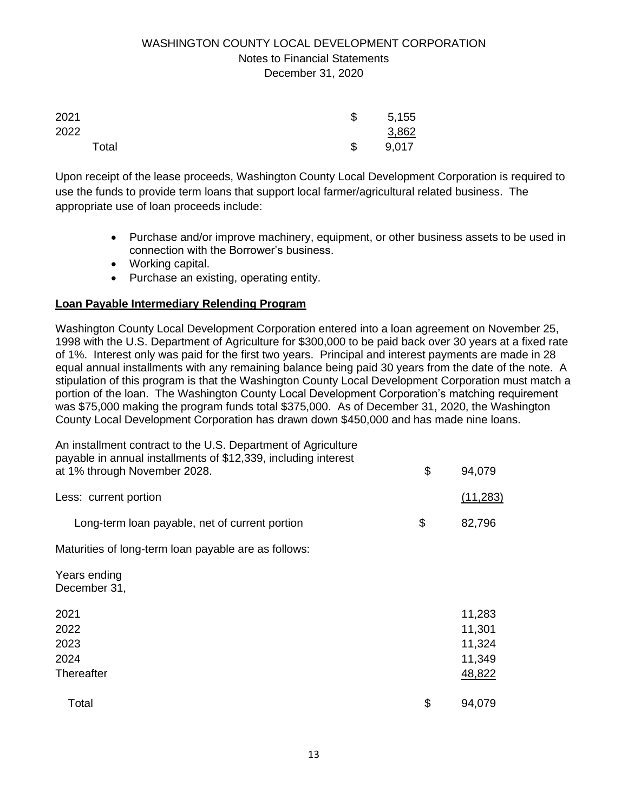| 2021  | \$<br>5,155 |
|-------|-------------|
| 2022  | 3,862       |
| Total | \$<br>9,017 |

Upon receipt of the lease proceeds, Washington County Local Development Corporation is required to use the funds to provide term loans that support local farmer/agricultural related business. The appropriate use of loan proceeds include:

- Purchase and/or improve machinery, equipment, or other business assets to be used in connection with the Borrower's business.
- Working capital.
- Purchase an existing, operating entity.

## **Loan Payable Intermediary Relending Program**

Washington County Local Development Corporation entered into a loan agreement on November 25, 1998 with the U.S. Department of Agriculture for \$300,000 to be paid back over 30 years at a fixed rate of 1%. Interest only was paid for the first two years. Principal and interest payments are made in 28 equal annual installments with any remaining balance being paid 30 years from the date of the note. A stipulation of this program is that the Washington County Local Development Corporation must match a portion of the loan. The Washington County Local Development Corporation's matching requirement was \$75,000 making the program funds total \$375,000. As of December 31, 2020, the Washington County Local Development Corporation has drawn down \$450,000 and has made nine loans.

| An installment contract to the U.S. Department of Agriculture<br>payable in annual installments of \$12,339, including interest<br>at 1% through November 2028. | \$<br>94,079                                   |
|-----------------------------------------------------------------------------------------------------------------------------------------------------------------|------------------------------------------------|
| Less: current portion                                                                                                                                           | (11, 283)                                      |
| Long-term loan payable, net of current portion                                                                                                                  | \$<br>82,796                                   |
| Maturities of long-term loan payable are as follows:                                                                                                            |                                                |
| Years ending<br>December 31,                                                                                                                                    |                                                |
| 2021<br>2022<br>2023<br>2024<br>Thereafter                                                                                                                      | 11,283<br>11,301<br>11,324<br>11,349<br>48,822 |
| Total                                                                                                                                                           | \$<br>94,079                                   |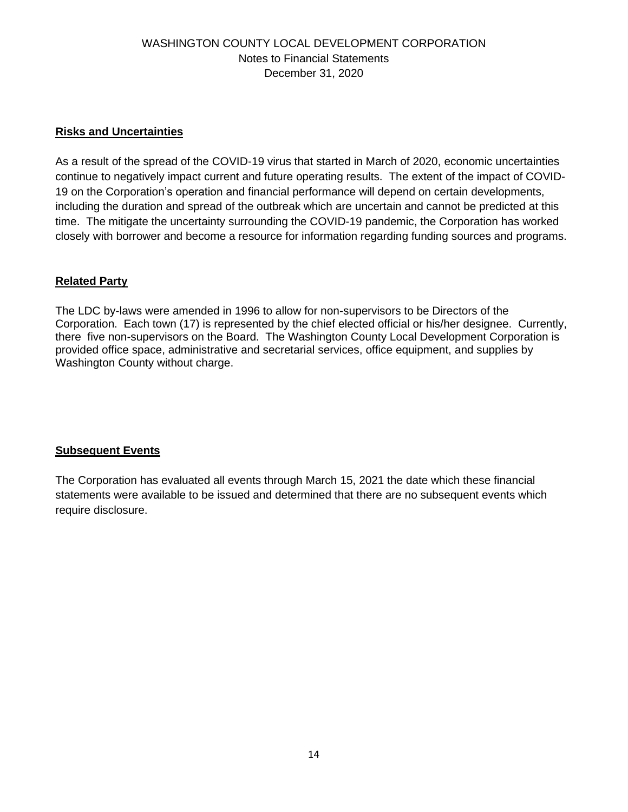#### **Risks and Uncertainties**

As a result of the spread of the COVID-19 virus that started in March of 2020, economic uncertainties continue to negatively impact current and future operating results. The extent of the impact of COVID-19 on the Corporation's operation and financial performance will depend on certain developments, including the duration and spread of the outbreak which are uncertain and cannot be predicted at this time. The mitigate the uncertainty surrounding the COVID-19 pandemic, the Corporation has worked closely with borrower and become a resource for information regarding funding sources and programs.

## **Related Party**

The LDC by-laws were amended in 1996 to allow for non-supervisors to be Directors of the Corporation. Each town (17) is represented by the chief elected official or his/her designee. Currently, there five non-supervisors on the Board. The Washington County Local Development Corporation is provided office space, administrative and secretarial services, office equipment, and supplies by Washington County without charge.

## **Subsequent Events**

The Corporation has evaluated all events through March 15, 2021 the date which these financial statements were available to be issued and determined that there are no subsequent events which require disclosure.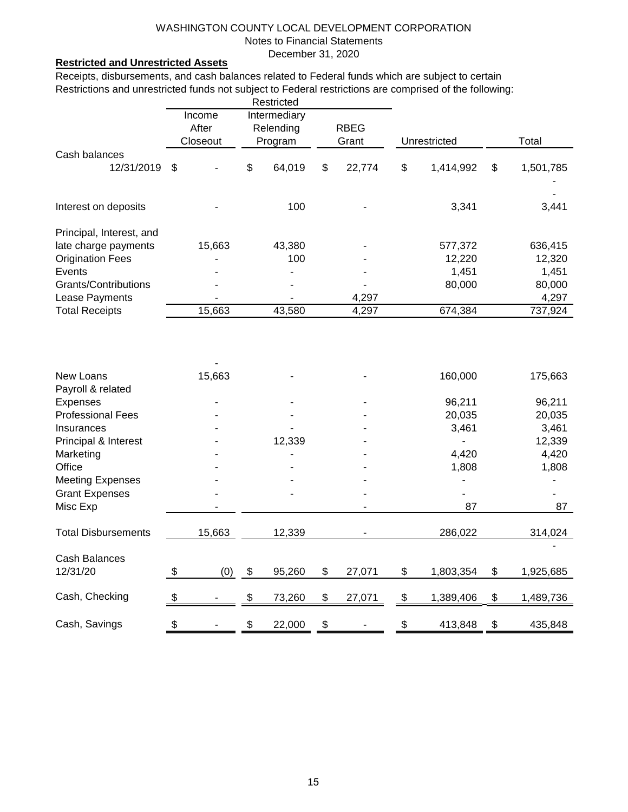December 31, 2020

#### **Restricted and Unrestricted Assets**

Receipts, disbursements, and cash balances related to Federal funds which are subject to certain Restrictions and unrestricted funds not subject to Federal restrictions are comprised of the following:

|                            | Restricted                |          |                     |             |    |        |    |              |                 |
|----------------------------|---------------------------|----------|---------------------|-------------|----|--------|----|--------------|-----------------|
|                            | Income<br>After           |          | <b>Intermediary</b> |             |    |        |    |              |                 |
|                            |                           |          | Relending           | <b>RBEG</b> |    |        |    |              |                 |
|                            |                           | Closeout |                     | Program     |    | Grant  |    | Unrestricted | Total           |
| Cash balances              |                           |          |                     |             |    |        |    |              |                 |
| 12/31/2019                 | \$                        |          | \$                  | 64,019      | \$ | 22,774 | \$ | 1,414,992    | \$<br>1,501,785 |
| Interest on deposits       |                           |          |                     | 100         |    |        |    | 3,341        | 3,441           |
|                            |                           |          |                     |             |    |        |    |              |                 |
| Principal, Interest, and   |                           |          |                     |             |    |        |    |              |                 |
| late charge payments       |                           | 15,663   |                     | 43,380      |    |        |    | 577,372      | 636,415         |
| <b>Origination Fees</b>    |                           |          |                     | 100         |    |        |    | 12,220       | 12,320          |
| Events                     |                           |          |                     |             |    |        |    | 1,451        | 1,451           |
| Grants/Contributions       |                           |          |                     |             |    |        |    | 80,000       | 80,000          |
| Lease Payments             |                           |          |                     |             |    | 4,297  |    |              | 4,297           |
| <b>Total Receipts</b>      |                           | 15,663   |                     | 43,580      |    | 4,297  |    | 674,384      | 737,924         |
|                            |                           |          |                     |             |    |        |    |              |                 |
| New Loans                  |                           | 15,663   |                     |             |    |        |    | 160,000      | 175,663         |
| Payroll & related          |                           |          |                     |             |    |        |    |              |                 |
| Expenses                   |                           |          |                     |             |    |        |    | 96,211       | 96,211          |
| <b>Professional Fees</b>   |                           |          |                     |             |    |        |    | 20,035       | 20,035          |
| Insurances                 |                           |          |                     |             |    |        |    | 3,461        | 3,461           |
| Principal & Interest       |                           |          |                     | 12,339      |    |        |    |              | 12,339          |
| Marketing                  |                           |          |                     |             |    |        |    | 4,420        | 4,420           |
| Office                     |                           |          |                     |             |    |        |    | 1,808        | 1,808           |
| <b>Meeting Expenses</b>    |                           |          |                     |             |    |        |    |              |                 |
| <b>Grant Expenses</b>      |                           |          |                     |             |    |        |    |              |                 |
| Misc Exp                   |                           |          |                     |             |    |        |    | 87           | 87              |
|                            |                           |          |                     |             |    |        |    |              |                 |
| <b>Total Disbursements</b> |                           | 15,663   |                     | 12,339      |    |        |    | 286,022      | 314,024         |
| <b>Cash Balances</b>       |                           |          |                     |             |    |        |    |              |                 |
| 12/31/20                   | $\boldsymbol{\mathsf{S}}$ | (0)      | \$                  | 95,260      | \$ | 27,071 | \$ | 1,803,354    | \$<br>1,925,685 |
| Cash, Checking             | $\frac{1}{2}$             |          | \$                  | 73,260      | \$ | 27,071 | \$ | 1,389,406    | \$<br>1,489,736 |
|                            |                           |          |                     |             |    |        |    |              |                 |
| Cash, Savings              | \$                        |          | \$                  | 22,000      | \$ |        | \$ | 413,848      | \$<br>435,848   |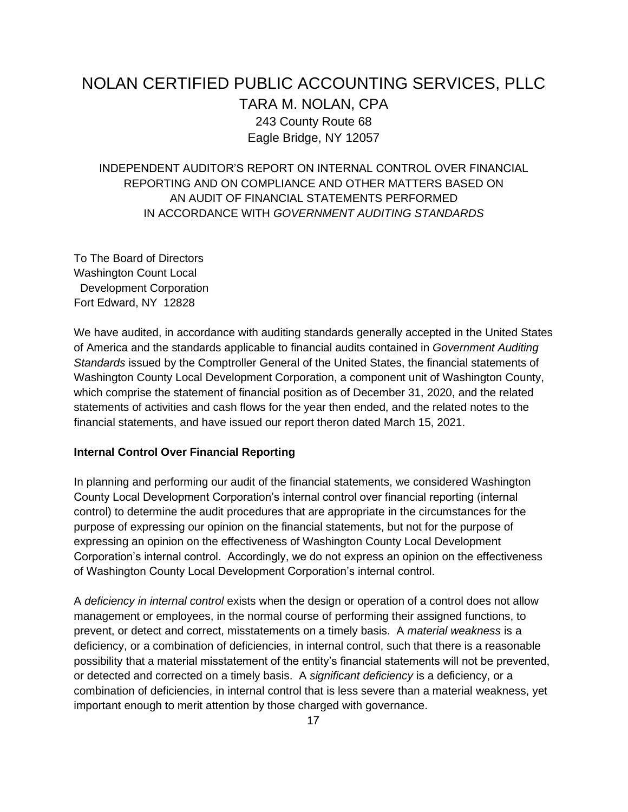# NOLAN CERTIFIED PUBLIC ACCOUNTING SERVICES, PLLC TARA M. NOLAN, CPA 243 County Route 68 Eagle Bridge, NY 12057

INDEPENDENT AUDITOR'S REPORT ON INTERNAL CONTROL OVER FINANCIAL REPORTING AND ON COMPLIANCE AND OTHER MATTERS BASED ON AN AUDIT OF FINANCIAL STATEMENTS PERFORMED IN ACCORDANCE WITH *GOVERNMENT AUDITING STANDARDS* 

To The Board of Directors Washington Count Local Development Corporation Fort Edward, NY 12828

We have audited, in accordance with auditing standards generally accepted in the United States of America and the standards applicable to financial audits contained in *Government Auditing Standards* issued by the Comptroller General of the United States, the financial statements of Washington County Local Development Corporation, a component unit of Washington County, which comprise the statement of financial position as of December 31, 2020, and the related statements of activities and cash flows for the year then ended, and the related notes to the financial statements, and have issued our report theron dated March 15, 2021.

#### **Internal Control Over Financial Reporting**

In planning and performing our audit of the financial statements, we considered Washington County Local Development Corporation's internal control over financial reporting (internal control) to determine the audit procedures that are appropriate in the circumstances for the purpose of expressing our opinion on the financial statements, but not for the purpose of expressing an opinion on the effectiveness of Washington County Local Development Corporation's internal control. Accordingly, we do not express an opinion on the effectiveness of Washington County Local Development Corporation's internal control.

A *deficiency in internal control* exists when the design or operation of a control does not allow management or employees, in the normal course of performing their assigned functions, to prevent, or detect and correct, misstatements on a timely basis. A *material weakness* is a deficiency, or a combination of deficiencies, in internal control, such that there is a reasonable possibility that a material misstatement of the entity's financial statements will not be prevented, or detected and corrected on a timely basis. A *significant deficiency* is a deficiency, or a combination of deficiencies, in internal control that is less severe than a material weakness, yet important enough to merit attention by those charged with governance.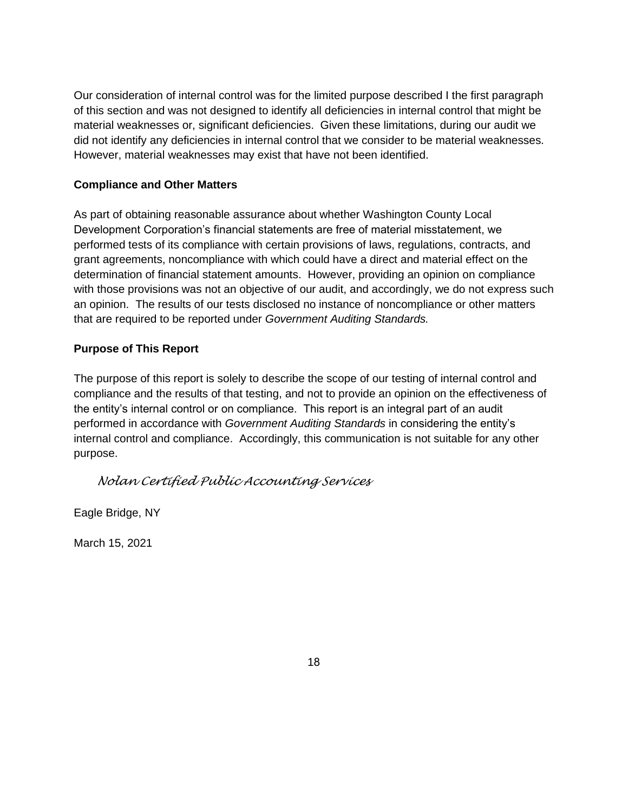Our consideration of internal control was for the limited purpose described I the first paragraph of this section and was not designed to identify all deficiencies in internal control that might be material weaknesses or, significant deficiencies. Given these limitations, during our audit we did not identify any deficiencies in internal control that we consider to be material weaknesses. However, material weaknesses may exist that have not been identified.

## **Compliance and Other Matters**

As part of obtaining reasonable assurance about whether Washington County Local Development Corporation's financial statements are free of material misstatement, we performed tests of its compliance with certain provisions of laws, regulations, contracts, and grant agreements, noncompliance with which could have a direct and material effect on the determination of financial statement amounts. However, providing an opinion on compliance with those provisions was not an objective of our audit, and accordingly, we do not express such an opinion. The results of our tests disclosed no instance of noncompliance or other matters that are required to be reported under *Government Auditing Standards.* 

## **Purpose of This Report**

The purpose of this report is solely to describe the scope of our testing of internal control and compliance and the results of that testing, and not to provide an opinion on the effectiveness of the entity's internal control or on compliance. This report is an integral part of an audit performed in accordance with *Government Auditing Standards* in considering the entity's internal control and compliance. Accordingly, this communication is not suitable for any other purpose.

## *Nolan Certified Public Accounting Services*

Eagle Bridge, NY

March 15, 2021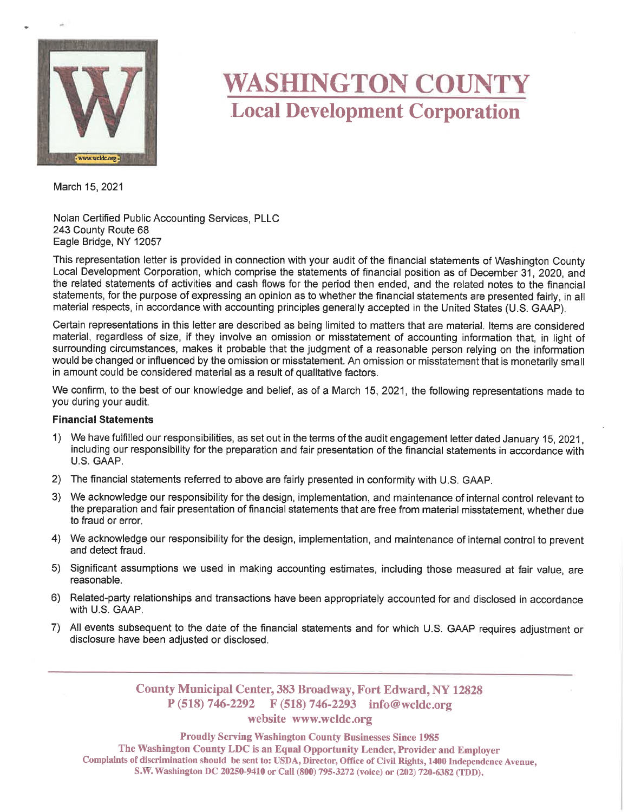

# **WASHINGTON COUNTY Local Development Corporation**

March 15, 2021

Nolan Certified Public Accounting Services, PLLC 243 County Route 68 Eagle Bridge, NY 12057

This representation letter is provided in connection with your audit of the financial statements of Washington County Local Development Corporation, which comprise the statements of financial position as of December 31, 2020, and the related statements of activities and cash flows for the period then ended, and the related notes to the financial statements, for the purpose of expressing an opinion as to whether the financial statements are presented fairly, in all material respects, in accordance with accounting principles generally accepted in the United States (U.S. GAAP).

Certain representations in this letter are described as being limited to matters that are material. Items are considered material, regardless of size, if they involve an omission or misstatement of accounting information that, in light of surrounding circumstances, makes it probable that the judgment of a reasonable person relying on the information would be changed or influenced by the omission or misstatement. An omission or misstatement that is monetarily small in amount could be considered material as a result of qualitative factors.

We confirm, to the best of our knowledge and belief, as of a March 15, 2021, the following representations made to you during your audit.

#### **Financial Statements**

- 1) We have fulfilled our responsibilities, as set out in the terms of the audit engagement letter dated January 15, 2021. including our responsibility for the preparation and fair presentation of the financial statements in accordance with U.S. GAAP.
- 2) The financial statements referred to above are fairly presented in conformity with U.S. GAAP.
- 3) We acknowledge our responsibility for the design, implementation, and maintenance of internal control relevant to the preparation and fair presentation of financial statements that are free from material misstatement, whether due to fraud or error.
- 4) We acknowledge our responsibility for the design, implementation, and maintenance of internal control to prevent and detect fraud.
- 5) Significant assumptions we used in making accounting estimates, including those measured at fair value, are reasonable.
- 6) Related-party relationships and transactions have been appropriately accounted for and disclosed in accordance with U.S. GAAP.
- 7) All events subsequent to the date of the financial statements and for which U.S. GAAP requires adjustment or disclosure have been adjusted or disclosed.

**County Municipal Center, 383 Broadway, Fort Edward, NY 12828**  $P(518) 746-2292$  F(518) 746-2293 info@wcldc.org

#### website www.wcldc.org

**Proudly Serving Washington County Businesses Since 1985** The Washington County LDC is an Equal Opportunity Lender, Provider and Employer Complaints of discrimination should be sent to: USDA, Director, Office of Civil Rights, 1400 Independence Avenue, S.W. Washington DC 20250-9410 or Call (800) 795-3272 (voice) or (202) 720-6382 (TDD).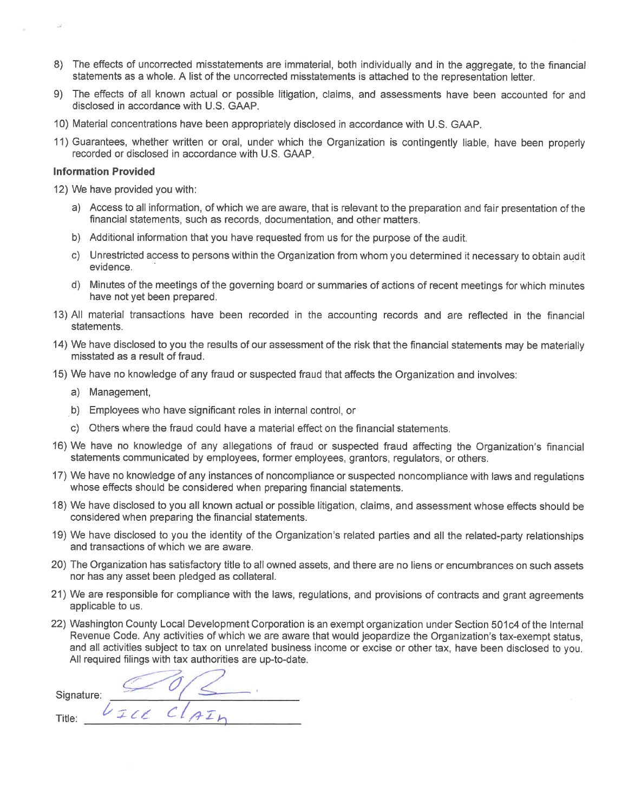- 8) The effects of uncorrected misstatements are immaterial, both individually and in the aggregate, to the financial statements as a whole. A list of the uncorrected misstatements is attached to the representation letter.
- 9) The effects of all known actual or possible litigation, claims, and assessments have been accounted for and disclosed in accordance with U.S. GAAP.
- 10) Material concentrations have been appropriately disclosed in accordance with U.S. GAAP.
- 11) Guarantees, whether written or oral, under which the Organization is contingently liable, have been properly recorded or disclosed in accordance with U.S. GAAP.

#### **Information Provided**

12) We have provided you with:

- a) Access to all information, of which we are aware, that is relevant to the preparation and fair presentation of the financial statements, such as records, documentation, and other matters.
- b) Additional information that you have requested from us for the purpose of the audit.
- c) Unrestricted access to persons within the Organization from whom you determined it necessary to obtain audit evidence.
- d) Minutes of the meetings of the governing board or summaries of actions of recent meetings for which minutes have not yet been prepared.
- 13) All material transactions have been recorded in the accounting records and are reflected in the financial statements.
- 14) We have disclosed to you the results of our assessment of the risk that the financial statements may be materially misstated as a result of fraud.
- 15) We have no knowledge of any fraud or suspected fraud that affects the Organization and involves:
	- a) Management,
	- b) Employees who have significant roles in internal control, or
	- c) Others where the fraud could have a material effect on the financial statements.
- 16) We have no knowledge of any allegations of fraud or suspected fraud affecting the Organization's financial statements communicated by employees, former employees, grantors, regulators, or others.
- 17) We have no knowledge of any instances of noncompliance or suspected noncompliance with laws and requiations whose effects should be considered when preparing financial statements.
- 18) We have disclosed to you all known actual or possible litigation, claims, and assessment whose effects should be considered when preparing the financial statements.
- 19) We have disclosed to you the identity of the Organization's related parties and all the related-party relationships and transactions of which we are aware.
- 20) The Organization has satisfactory title to all owned assets, and there are no liens or encumbrances on such assets nor has any asset been pledged as collateral.
- 21) We are responsible for compliance with the laws, regulations, and provisions of contracts and grant agreements applicable to us.
- 22) Washington County Local Development Corporation is an exempt organization under Section 501c4 of the Internal Revenue Code. Any activities of which we are aware that would jeopardize the Organization's tax-exempt status. and all activities subject to tax on unrelated business income or excise or other tax, have been disclosed to you. All required filings with tax authorities are up-to-date.

Signature: VICE CLAIN Title: